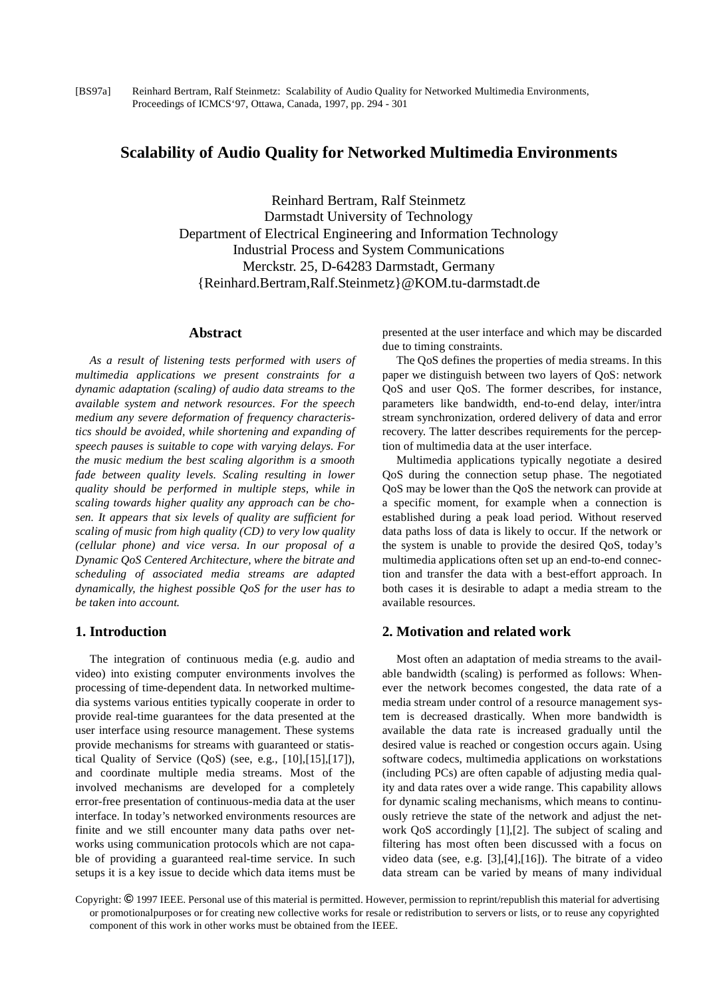# **Scalability of Audio Quality for Networked Multimedia Environments**

Reinhard Bertram, Ralf Steinmetz Darmstadt University of Technology Department of Electrical Engineering and Information Technology Industrial Process and System Communications Merckstr. 25, D-64283 Darmstadt, Germany {Reinhard.Bertram,Ralf.Steinmetz}@KOM.tu-darmstadt.de

## **Abstract**

*As a result of listening tests performed with users of multimedia applications we present constraints for a dynamic adaptation (scaling) of audio data streams to the available system and network resources. For the speech medium any severe deformation of frequency characteristics should be avoided, while shortening and expanding of speech pauses is suitable to cope with varying delays. For the music medium the best scaling algorithm is a smooth fade between quality levels. Scaling resulting in lower quality should be performed in multiple steps, while in scaling towards higher quality any approach can be chosen. It appears that six levels of quality are sufficient for scaling of music from high quality (CD) to very low quality (cellular phone) and vice versa. In our proposal of a Dynamic QoS Centered Architecture, where the bitrate and scheduling of associated media streams are adapted dynamically, the highest possible QoS for the user has to be taken into account.*

# **1. Introduction**

The integration of continuous media (e.g. audio and video) into existing computer environments involves the processing of time-dependent data. In networked multimedia systems various entities typically cooperate in order to provide real-time guarantees for the data presented at the user interface using resource management. These systems provide mechanisms for streams with guaranteed or statistical Quality of Service (QoS) (see, e.g., [\[10\]](#page-7-0),[\[15\],](#page-7-0)[\[17\]\)](#page-8-0), and coordinate multiple media streams. Most of the involved mechanisms are developed for a completely error-free presentation of continuous-media data at the user interface. In today's networked environments resources are finite and we still encounter many data paths over networks using communication protocols which are not capable of providing a guaranteed real-time service. In such setups it is a key issue to decide which data items must be

presented at the user interface and which may be discarded due to timing constraints.

The QoS defines the properties of media streams. In this paper we distinguish between two layers of QoS: network QoS and user QoS. The former describes, for instance, parameters like bandwidth, end-to-end delay, inter/intra stream synchronization, ordered delivery of data and error recovery. The latter describes requirements for the perception of multimedia data at the user interface.

Multimedia applications typically negotiate a desired QoS during the connection setup phase. The negotiated QoS may be lower than the QoS the network can provide at a specific moment, for example when a connection is established during a peak load period. Without reserved data paths loss of data is likely to occur. If the network or the system is unable to provide the desired QoS, today's multimedia applications often set up an end-to-end connection and transfer the data with a best-effort approach. In both cases it is desirable to adapt a media stream to the available resources.

# **2. Motivation and related work**

Most often an adaptation of media streams to the available bandwidth (scaling) is performed as follows: Whenever the network becomes congested, the data rate of a media stream under control of a resource management system is decreased drastically. When more bandwidth is available the data rate is increased gradually until the desired value is reached or congestion occurs again. Using software codecs, multimedia applications on workstations (including PCs) are often capable of adjusting media quality and data rates over a wide range. This capability allows for dynamic scaling mechanisms, which means to continuously retrieve the state of the network and adjust the network QoS accordingly [\[1\],\[2\]](#page-7-0). The subject of scaling and filtering has most often been discussed with a focus on video data (see, e.g. [\[3\],\[4\]](#page-7-0)[,\[16\]](#page-8-0)). The bitrate of a video data stream can be varied by means of many individual

Copyright: **©** 1997 IEEE. Personal use of this material is permitted. However, permission to reprint/republish this material for advertising or promotionalpurposes or for creating new collective works for resale or redistribution to servers or lists, or to reuse any copyrighted component of this work in other works must be obtained from the IEEE.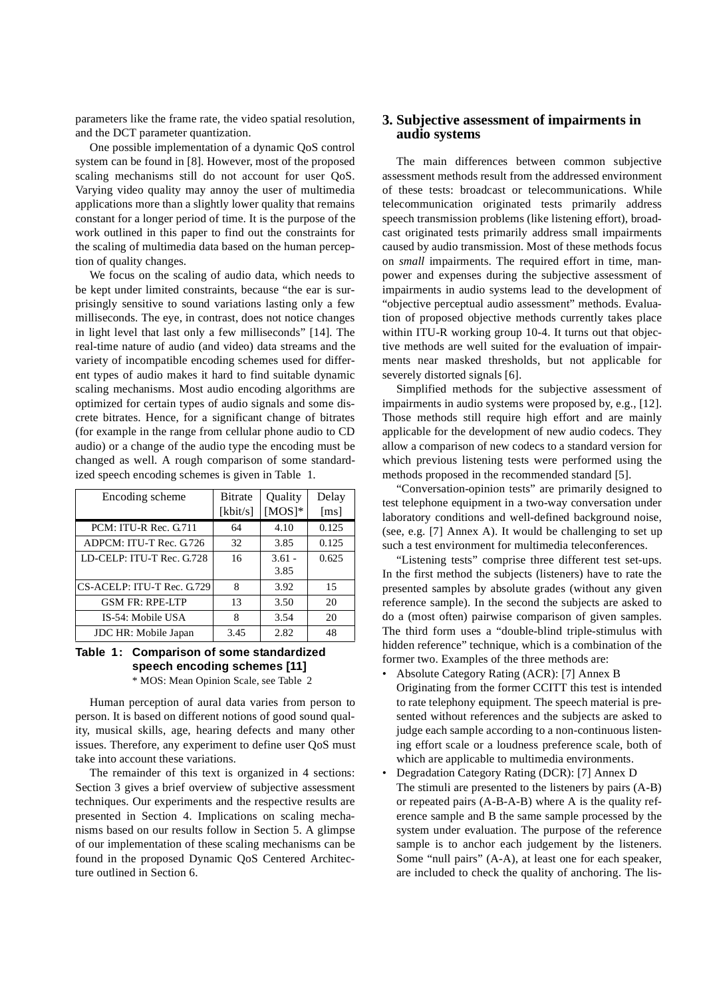parameters like the frame rate, the video spatial resolution, and the DCT parameter quantization.

One possible implementation of a dynamic QoS control system can be found in [\[8\].](#page-7-0) However, most of the proposed scaling mechanisms still do not account for user QoS. Varying video quality may annoy the user of multimedia applications more than a slightly lower quality that remains constant for a longer period of time. It is the purpose of the work outlined in this paper to find out the constraints for the scaling of multimedia data based on the human perception of quality changes.

We focus on the scaling of audio data, which needs to be kept under limited constraints, because "the ear is surprisingly sensitive to sound variations lasting only a few milliseconds. The eye, in contrast, does not notice changes in light level that last only a few milliseconds" [\[14\].](#page-7-0) The real-time nature of audio (and video) data streams and the variety of incompatible encoding schemes used for different types of audio makes it hard to find suitable dynamic scaling mechanisms. Most audio encoding algorithms are optimized for certain types of audio signals and some discrete bitrates. Hence, for a significant change of bitrates (for example in the range from cellular phone audio to CD audio) or a change of the audio type the encoding must be changed as well. A rough comparison of some standardized speech encoding schemes is given in Table 1.

| Encoding scheme            | <b>B</b> itrate | Quality  | Delay              |
|----------------------------|-----------------|----------|--------------------|
|                            | [kbit/s]        | $[MOS]*$ | $\lceil ms \rceil$ |
| PCM: ITU-R Rec. G.711      | 64              | 4.10     | 0.125              |
| ADPCM: ITU-T Rec. G.726    | 32              | 3.85     | 0.125              |
| LD-CELP: ITU-T Rec. G.728  | 16              | $3.61 -$ | 0.625              |
|                            |                 | 3.85     |                    |
| CS-ACELP: ITU-T Rec. G.729 | 8               | 3.92     | 15                 |
| <b>GSM FR: RPE-LTP</b>     | 13              | 3.50     | 20                 |
| IS-54: Mobile USA          | 8               | 3.54     | 20                 |
| JDC HR: Mobile Japan       | 3.45            | 2.82     | 48                 |

# **Table 1: Comparison of some standardized speech encoding schemes [\[11\]](#page-7-0)**

\* MOS: Mean Opinion Scale, se[e Table](#page-2-0) 2

Human perception of aural data varies from person to person. It is based on different notions of good sound quality, musical skills, age, hearing defects and many other issues. Therefore, any experiment to define user QoS must take into account these variations.

The remainder of this text is organized in 4 sections: Section 3 gives a brief overview of subjective assessment techniques. Our experiments and the respective results are presented in Section 4. Implications on scaling mechanisms based on our results follow in Section 5. A glimpse of our implementation of these scaling mechanisms can be found in the proposed Dynamic QoS Centered Architecture outlined in Section 6.

# **3. Subjective assessment of impairments in audio systems**

The main differences between common subjective assessment methods result from the addressed environment of these tests: broadcast or telecommunications. While telecommunication originated tests primarily address speech transmission problems (like listening effort), broadcast originated tests primarily address small impairments caused by audio transmission. Most of these methods focus on *small* impairments. The required effort in time, manpower and expenses during the subjective assessment of impairments in audio systems lead to the development of "objective perceptual audio assessment" methods. Evaluation of proposed objective methods currently takes place within ITU-R working group 10-4. It turns out that objective methods are well suited for the evaluation of impairments near masked thresholds, but not applicable for severely distorted signal[s \[6](#page-7-0)].

Simplified methods for the subjective assessment of impairments in audio systems were proposed by, e.g., [\[12\]](#page-7-0). Those methods still require high effort and are mainly applicable for the development of new audio codecs. They allow a comparison of new codecs to a standard version for which previous listening tests were performed using the methods proposed in the recommended standar[d \[5](#page-7-0)].

"Conversation-opinion tests" are primarily designed to test telephone equipment in a two-way conversation under laboratory conditions and well-defined background noise, (see, e.g. [\[7\]](#page-7-0) Annex A). It would be challenging to set up such a test environment for multimedia teleconferences.

"Listening tests" comprise three different test set-ups. In the first method the subjects (listeners) have to rate the presented samples by absolute grades (without any given reference sample). In the second the subjects are asked to do a (most often) pairwise comparison of given samples. The third form uses a "double-blind triple-stimulus with hidden reference" technique, which is a combination of the former two. Examples of the three methods are:

- Absolute Category Rating (ACR)[: \[7](#page-7-0)] Annex B
- Originating from the former CCITT this test is intended to rate telephony equipment. The speech material is presented without references and the subjects are asked to judge each sample according to a non-continuous listening effort scale or a loudness preference scale, both of which are applicable to multimedia environments.
- Degradation Category Rating (DCR)[: \[7](#page-7-0)] Annex D The stimuli are presented to the listeners by pairs (A-B) or repeated pairs (A-B-A-B) where A is the quality reference sample and B the same sample processed by the system under evaluation. The purpose of the reference sample is to anchor each judgement by the listeners. Some "null pairs" (A-A), at least one for each speaker, are included to check the quality of anchoring. The lis-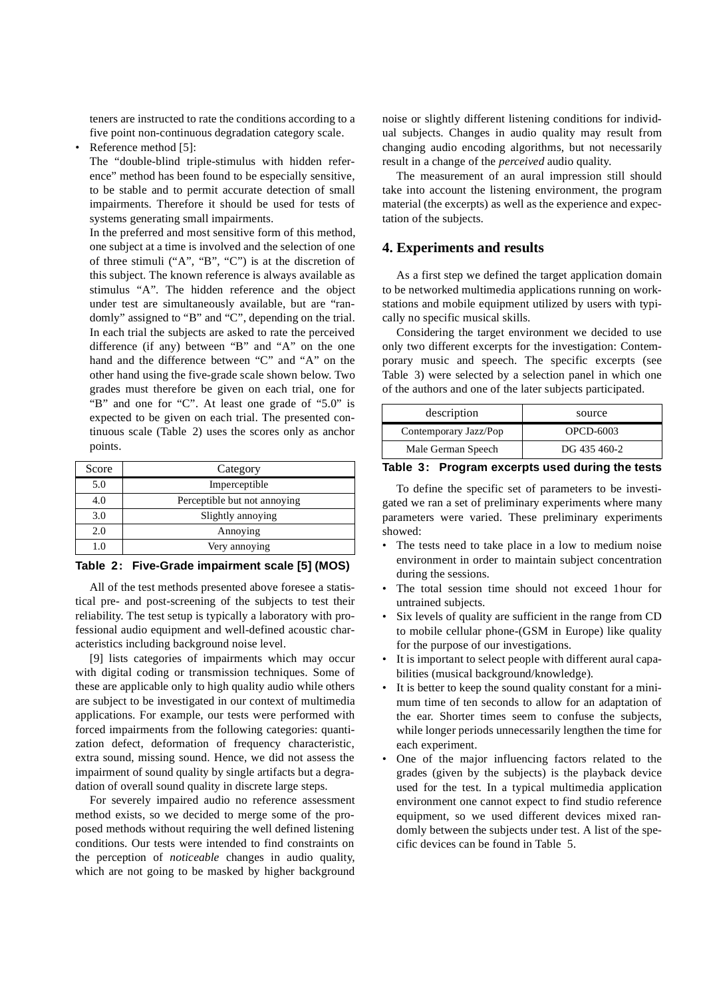<span id="page-2-0"></span>teners are instructed to rate the conditions according to a five point non-continuous degradation category scale.

Reference metho[d \[5\]](#page-7-0):

The "double-blind triple-stimulus with hidden reference" method has been found to be especially sensitive, to be stable and to permit accurate detection of small impairments. Therefore it should be used for tests of systems generating small impairments.

In the preferred and most sensitive form of this method, one subject at a time is involved and the selection of one of three stimuli ("A", "B", "C") is at the discretion of this subject. The known reference is always available as stimulus "A". The hidden reference and the object under test are simultaneously available, but are "randomly" assigned to "B" and "C", depending on the trial. In each trial the subjects are asked to rate the perceived difference (if any) between "B" and "A" on the one hand and the difference between "C" and "A" on the other hand using the five-grade scale shown below. Two grades must therefore be given on each trial, one for "B" and one for "C". At least one grade of "5.0" is expected to be given on each trial. The presented continuous scale (Table 2) uses the scores only as anchor points.

| Score | Category                     |  |
|-------|------------------------------|--|
| 5.0   | Imperceptible                |  |
| 4.0   | Perceptible but not annoying |  |
| 3.0   | Slightly annoying            |  |
| 2.0   | Annoying                     |  |
|       | Very annoying                |  |

# **Table 2: Five-Grade impairment scale [\[5\]](#page-7-0) (MOS)**

All of the test methods presented above foresee a statistical pre- and post-screening of the subjects to test their reliability. The test setup is typically a laboratory with professional audio equipment and well-defined acoustic characteristics including background noise level.

[\[9\]](#page-7-0) lists categories of impairments which may occur with digital coding or transmission techniques. Some of these are applicable only to high quality audio while others are subject to be investigated in our context of multimedia applications. For example, our tests were performed with forced impairments from the following categories: quantization defect, deformation of frequency characteristic, extra sound, missing sound. Hence, we did not assess the impairment of sound quality by single artifacts but a degradation of overall sound quality in discrete large steps.

For severely impaired audio no reference assessment method exists, so we decided to merge some of the proposed methods without requiring the well defined listening conditions. Our tests were intended to find constraints on the perception of *noticeable* changes in audio quality, which are not going to be masked by higher background

noise or slightly different listening conditions for individual subjects. Changes in audio quality may result from changing audio encoding algorithms, but not necessarily result in a change of the *perceived* audio quality.

The measurement of an aural impression still should take into account the listening environment, the program material (the excerpts) as well as the experience and expectation of the subjects.

# **4. Experiments and results**

As a first step we defined the target application domain to be networked multimedia applications running on workstations and mobile equipment utilized by users with typically no specific musical skills.

Considering the target environment we decided to use only two different excerpts for the investigation: Contemporary music and speech. The specific excerpts (see Table 3) were selected by a selection panel in which one of the authors and one of the later subjects participated.

| description           | source           |  |
|-----------------------|------------------|--|
| Contemporary Jazz/Pop | <b>OPCD-6003</b> |  |
| Male German Speech    | DG 435 460-2     |  |

### **Table 3: Program excerpts used during the tests**

To define the specific set of parameters to be investigated we ran a set of preliminary experiments where many parameters were varied. These preliminary experiments showed:

- The tests need to take place in a low to medium noise environment in order to maintain subject concentration during the sessions.
- The total session time should not exceed 1hour for untrained subjects.
- Six levels of quality are sufficient in the range from CD to mobile cellular phone-(GSM in Europe) like quality for the purpose of our investigations.
- It is important to select people with different aural capabilities (musical background/knowledge).
- It is better to keep the sound quality constant for a minimum time of ten seconds to allow for an adaptation of the ear. Shorter times seem to confuse the subjects, while longer periods unnecessarily lengthen the time for each experiment.
- One of the major influencing factors related to the grades (given by the subjects) is the playback device used for the test. In a typical multimedia application environment one cannot expect to find studio reference equipment, so we used different devices mixed randomly between the subjects under test. A list of the specific devices can be found i[n Table 5](#page-3-0).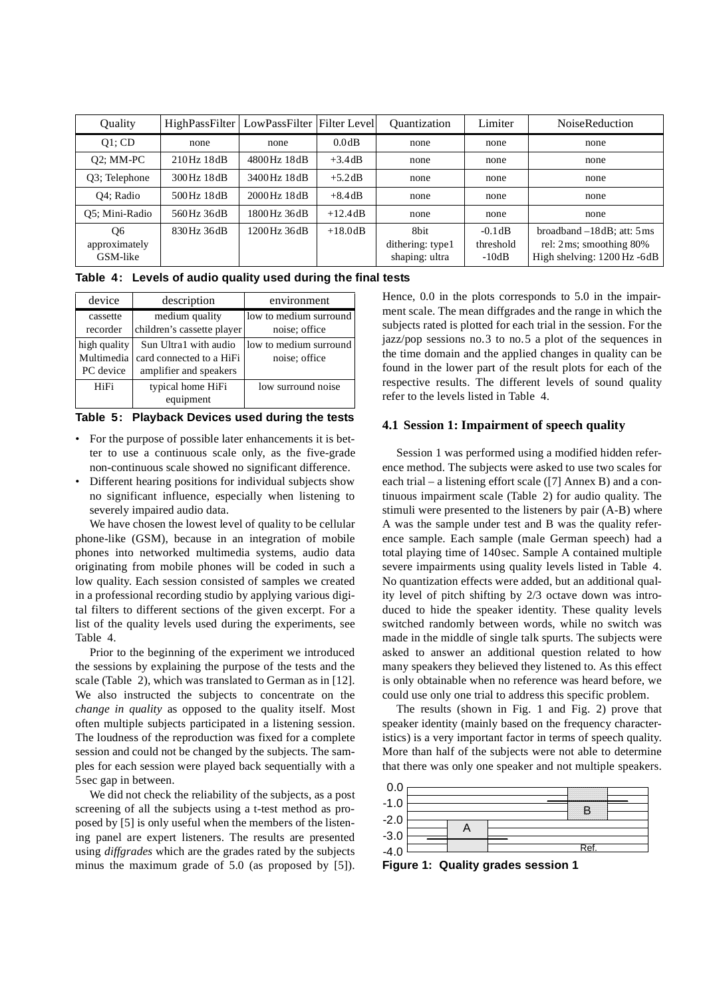<span id="page-3-0"></span>

| Quality                                            | HighPassFilter | LowPassFilter   Filter Level |           | Ouantization                               | Limiter                           | NoiseReduction                                                                            |
|----------------------------------------------------|----------------|------------------------------|-----------|--------------------------------------------|-----------------------------------|-------------------------------------------------------------------------------------------|
| $O1$ ; CD                                          | none           | none                         | 0.0dB     | none                                       | none                              | none                                                                                      |
| $O2$ ; MM-PC                                       | 210Hz 18dB     | 4800 Hz 18dB                 | $+3.4$ dB | none                                       | none                              | none                                                                                      |
| Q3; Telephone                                      | 300 Hz 18dB    | 3400Hz 18dB                  | $+5.2$ dB | none                                       | none                              | none                                                                                      |
| O4: Radio                                          | 500 Hz 18dB    | 2000 Hz 18dB                 | $+8.4$ dB | none                                       | none                              | none                                                                                      |
| O5; Mini-Radio                                     | 560Hz 36dB     | 1800Hz 36dB                  | $+12.4dB$ | none                                       | none                              | none                                                                                      |
| <b>O</b> <sub>6</sub><br>approximately<br>GSM-like | 830Hz 36dB     | 1200Hz 36dB                  | $+18.0dB$ | 8bit<br>dithering: type1<br>shaping: ultra | $-0.1$ dB<br>threshold<br>$-10dB$ | broadband $-18$ dB; att: $5$ ms<br>rel: 2ms; smoothing 80%<br>High shelving: 1200 Hz -6dB |

**Table 4: Levels of audio quality used during the final tests**

| device       | description                | environment            |
|--------------|----------------------------|------------------------|
| cassette     | medium quality             | low to medium surround |
| recorder     | children's cassette player | noise; office          |
| high quality | Sun Ultra1 with audio      | low to medium surround |
| Multimedia   | card connected to a HiFi   | noise; office          |
| PC device    | amplifier and speakers     |                        |
| HiFi         | typical home HiFi          | low surround noise     |
|              | equipment                  |                        |

**Table 5: Playback Devices used during the tests**

- For the purpose of possible later enhancements it is better to use a continuous scale only, as the five-grade non-continuous scale showed no significant difference.
- Different hearing positions for individual subjects show no significant influence, especially when listening to severely impaired audio data.

We have chosen the lowest level of quality to be cellular phone-like (GSM), because in an integration of mobile phones into networked multimedia systems, audio data originating from mobile phones will be coded in such a low quality. Each session consisted of samples we created in a professional recording studio by applying various digital filters to different sections of the given excerpt. For a list of the quality levels used during the experiments, see Table 4.

Prior to the beginning of the experiment we introduced the sessions by explaining the purpose of the tests and the scale [\(Table 2](#page-2-0)), which was translated to German as in [\[12\]](#page-7-0). We also instructed the subjects to concentrate on the *change in quality* as opposed to the quality itself. Most often multiple subjects participated in a listening session. The loudness of the reproduction was fixed for a complete session and could not be changed by the subjects. The samples for each session were played back sequentially with a 5sec gap in between.

We did not check the reliability of the subjects, as a post screening of all the subjects using a t-test method as proposed by [\[5\]](#page-7-0) is only useful when the members of the listening panel are expert listeners. The results are presented using *diffgrades* which are the grades rated by the subjects minus the maximum grade of 5.0 (as proposed by [\[5\]\)](#page-7-0).

Hence, 0.0 in the plots corresponds to 5.0 in the impairment scale. The mean diffgrades and the range in which the subjects rated is plotted for each trial in the session. For the jazz/pop sessions no.3 to no.5 a plot of the sequences in the time domain and the applied changes in quality can be found in the lower part of the result plots for each of the respective results. The different levels of sound quality refer to the levels listed in Table 4.

## **4.1 Session 1: Impairment of speech quality**

Session 1 was performed using a modified hidden reference method. The subjects were asked to use two scales for each trial – a listening effort scale [\(\[7\]](#page-7-0) Annex B) and a continuous impairment scale [\(Table 2](#page-2-0)) for audio quality. The stimuli were presented to the listeners by pair (A-B) where A was the sample under test and B was the quality reference sample. Each sample (male German speech) had a total playing time of 140sec. Sample A contained multiple severe impairments using quality levels listed in Table 4. No quantization effects were added, but an additional quality level of pitch shifting by 2/3 octave down was introduced to hide the speaker identity. These quality levels switched randomly between words, while no switch was made in the middle of single talk spurts. The subjects were asked to answer an additional question related to how many speakers they believed they listened to. As this effect is only obtainable when no reference was heard before, we could use only one trial to address this specific problem.

The results (shown in Fig. 1 and [Fig. 2](#page-4-0)) prove that speaker identity (mainly based on the frequency characteristics) is a very important factor in terms of speech quality. More than half of the subjects were not able to determine that there was only one speaker and not multiple speakers.



**Figure 1: Quality grades session 1**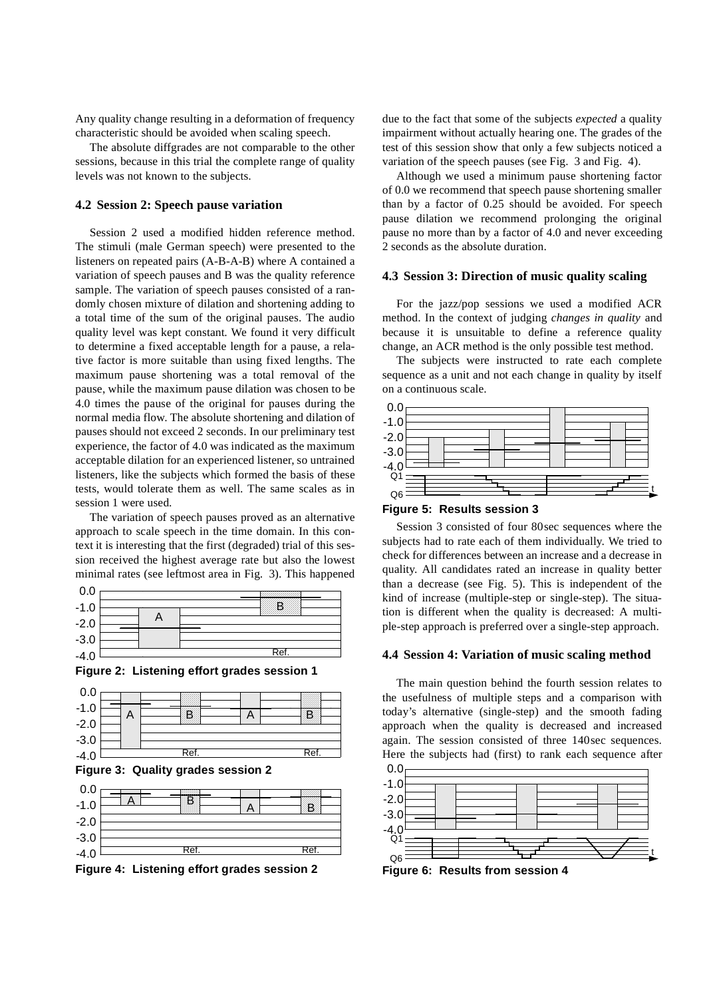<span id="page-4-0"></span>Any quality change resulting in a deformation of frequency characteristic should be avoided when scaling speech.

The absolute diffgrades are not comparable to the other sessions, because in this trial the complete range of quality levels was not known to the subjects.

### **4.2 Session 2: Speech pause variation**

Session 2 used a modified hidden reference method. The stimuli (male German speech) were presented to the listeners on repeated pairs (A-B-A-B) where A contained a variation of speech pauses and B was the quality reference sample. The variation of speech pauses consisted of a randomly chosen mixture of dilation and shortening adding to a total time of the sum of the original pauses. The audio quality level was kept constant. We found it very difficult to determine a fixed acceptable length for a pause, a relative factor is more suitable than using fixed lengths. The maximum pause shortening was a total removal of the pause, while the maximum pause dilation was chosen to be 4.0 times the pause of the original for pauses during the normal media flow. The absolute shortening and dilation of pauses should not exceed 2 seconds. In our preliminary test experience, the factor of 4.0 was indicated as the maximum acceptable dilation for an experienced listener, so untrained listeners, like the subjects which formed the basis of these tests, would tolerate them as well. The same scales as in session 1 were used.

The variation of speech pauses proved as an alternative approach to scale speech in the time domain. In this context it is interesting that the first (degraded) trial of this session received the highest average rate but also the lowest minimal rates (see leftmost area in Fig. 3). This happened





**Figure 2: Listening effort grades session 1**

 $-4.0$  Ref. Ref. Ref. **Figure 4: Listening effort grades session 2** due to the fact that some of the subjects *expected* a quality impairment without actually hearing one. The grades of the test of this session show that only a few subjects noticed a variation of the speech pauses (see Fig. 3 and Fig. 4).

Although we used a minimum pause shortening factor of 0.0 we recommend that speech pause shortening smaller than by a factor of 0.25 should be avoided. For speech pause dilation we recommend prolonging the original pause no more than by a factor of 4.0 and never exceeding 2 seconds as the absolute duration.

## **4.3 Session 3: Direction of music quality scaling**

For the jazz/pop sessions we used a modified ACR method. In the context of judging *changes in quality* and because it is unsuitable to define a reference quality change, an ACR method is the only possible test method.

The subjects were instructed to rate each complete sequence as a unit and not each change in quality by itself on a continuous scale.



### **Figure 5: Results session 3**

Session 3 consisted of four 80sec sequences where the subjects had to rate each of them individually. We tried to check for differences between an increase and a decrease in quality. All candidates rated an increase in quality better than a decrease (see Fig. 5). This is independent of the kind of increase (multiple-step or single-step). The situation is different when the quality is decreased: A multiple-step approach is preferred over a single-step approach.

#### **4.4 Session 4: Variation of music scaling method**

The main question behind the fourth session relates to the usefulness of multiple steps and a comparison with today's alternative (single-step) and the smooth fading approach when the quality is decreased and increased again. The session consisted of three 140sec sequences. Here the subjects had (first) to rank each sequence after



**Figure 6: Results from session 4**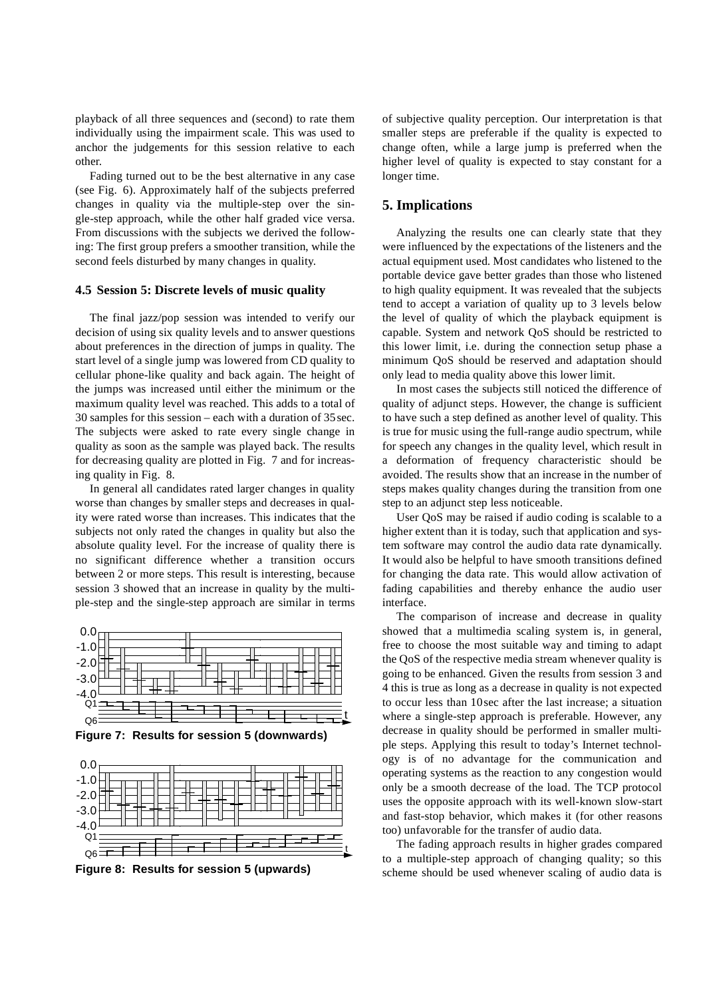playback of all three sequences and (second) to rate them individually using the impairment scale. This was used to anchor the judgements for this session relative to each other.

Fading turned out to be the best alternative in any case (see [Fig. 6\)](#page-4-0). Approximately half of the subjects preferred changes in quality via the multiple-step over the single-step approach, while the other half graded vice versa. From discussions with the subjects we derived the following: The first group prefers a smoother transition, while the second feels disturbed by many changes in quality.

### **4.5 Session 5: Discrete levels of music quality**

The final jazz/pop session was intended to verify our decision of using six quality levels and to answer questions about preferences in the direction of jumps in quality. The start level of a single jump was lowered from CD quality to cellular phone-like quality and back again. The height of the jumps was increased until either the minimum or the maximum quality level was reached. This adds to a total of 30 samples for this session – each with a duration of 35sec. The subjects were asked to rate every single change in quality as soon as the sample was played back. The results for decreasing quality are plotted in Fig. 7 and for increasing quality in Fig. 8.

In general all candidates rated larger changes in quality worse than changes by smaller steps and decreases in quality were rated worse than increases. This indicates that the subjects not only rated the changes in quality but also the absolute quality level. For the increase of quality there is no significant difference whether a transition occurs between 2 or more steps. This result is interesting, because session 3 showed that an increase in quality by the multiple-step and the single-step approach are similar in terms







**Figure 8: Results for session 5 (upwards)**

of subjective quality perception. Our interpretation is that smaller steps are preferable if the quality is expected to change often, while a large jump is preferred when the higher level of quality is expected to stay constant for a longer time.

### **5. Implications**

Analyzing the results one can clearly state that they were influenced by the expectations of the listeners and the actual equipment used. Most candidates who listened to the portable device gave better grades than those who listened to high quality equipment. It was revealed that the subjects tend to accept a variation of quality up to 3 levels below the level of quality of which the playback equipment is capable. System and network QoS should be restricted to this lower limit, i.e. during the connection setup phase a minimum QoS should be reserved and adaptation should only lead to media quality above this lower limit.

In most cases the subjects still noticed the difference of quality of adjunct steps. However, the change is sufficient to have such a step defined as another level of quality. This is true for music using the full-range audio spectrum, while for speech any changes in the quality level, which result in a deformation of frequency characteristic should be avoided. The results show that an increase in the number of steps makes quality changes during the transition from one step to an adjunct step less noticeable.

User QoS may be raised if audio coding is scalable to a higher extent than it is today, such that application and system software may control the audio data rate dynamically. It would also be helpful to have smooth transitions defined for changing the data rate. This would allow activation of fading capabilities and thereby enhance the audio user interface.

The comparison of increase and decrease in quality showed that a multimedia scaling system is, in general, free to choose the most suitable way and timing to adapt the QoS of the respective media stream whenever quality is going to be enhanced. Given the results from session 3 and 4 this is true as long as a decrease in quality is not expected to occur less than 10sec after the last increase; a situation where a single-step approach is preferable. However, any decrease in quality should be performed in smaller multiple steps. Applying this result to today's Internet technology is of no advantage for the communication and operating systems as the reaction to any congestion would only be a smooth decrease of the load. The TCP protocol uses the opposite approach with its well-known slow-start and fast-stop behavior, which makes it (for other reasons too) unfavorable for the transfer of audio data.

The fading approach results in higher grades compared to a multiple-step approach of changing quality; so this scheme should be used whenever scaling of audio data is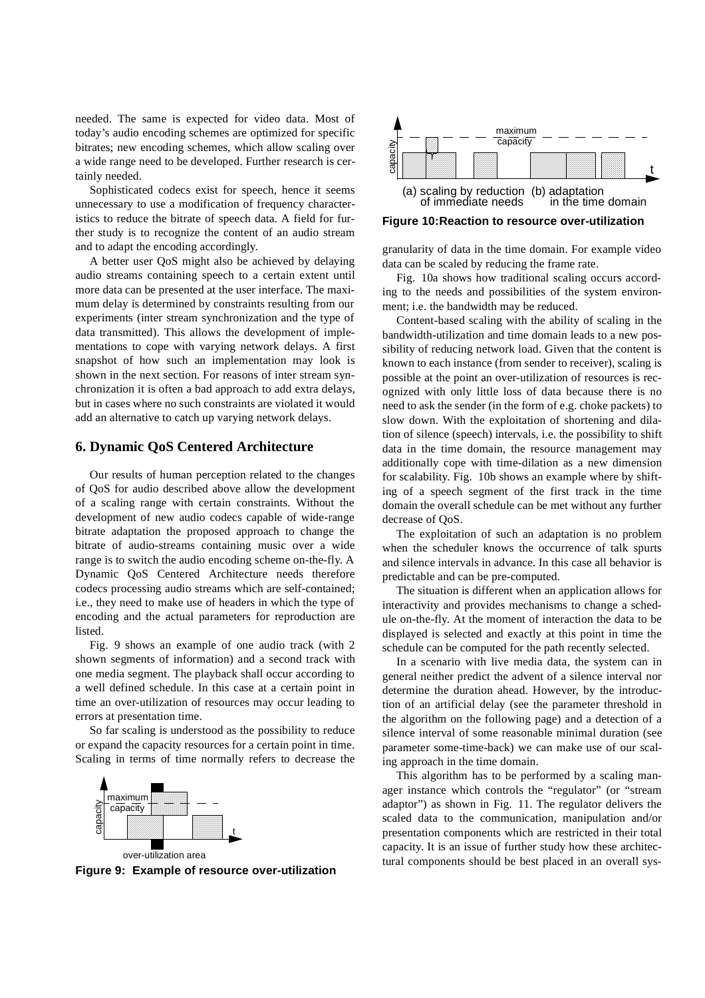needed. The same is expected for video data. Most of today's audio encoding schemes are optimized for specific bitrates; new encoding schemes, which allow scaling over a wide range need to be developed. Further research is certainly needed.

Sophisticated codecs exist for speech, hence it seems unnecessary to use a modification of frequency characteristics to reduce the bitrate of speech data. A field for further study is to recognize the content of an audio stream and to adapt the encoding accordingly.

A better user QoS might also be achieved by delaying audio streams containing speech to a certain extent until more data can be presented at the user interface. The maximum delay is determined by constraints resulting from our experiments (inter stream synchronization and the type of data transmitted). This allows the development of implementations to cope with varying network delays. A first snapshot of how such an implementation may look is shown in the next section. For reasons of inter stream synchronization it is often a bad approach to add extra delays, but in cases where no such constraints are violated it would add an alternative to catch up varying network delays.

# **6. Dynamic QoS Centered Architecture**

Our results of human perception related to the changes of QoS for audio described above allow the development of a scaling range with certain constraints. Without the development of new audio codecs capable of wide-range bitrate adaptation the proposed approach to change the bitrate of audio-streams containing music over a wide range is to switch the audio encoding scheme on-the-fly. A Dynamic QoS Centered Architecture needs therefore codecs processing audio streams which are self-contained; i.e., they need to make use of headers in which the type of encoding and the actual parameters for reproduction are listed.

Fig. 9 shows an example of one audio track (with 2 shown segments of information) and a second track with one media segment. The playback shall occur according to a well defined schedule. In this case at a certain point in time an over-utilization of resources may occur leading to errors at presentation time.

So far scaling is understood as the possibility to reduce or expand the capacity resources for a certain point in time. Scaling in terms of time normally refers to decrease the





**Figure 10:Reaction to resource over-utilization**

granularity of data in the time domain. For example video data can be scaled by reducing the frame rate.

Fig. 10a shows how traditional scaling occurs according to the needs and possibilities of the system environment; i.e. the bandwidth may be reduced.

Content-based scaling with the ability of scaling in the bandwidth-utilization and time domain leads to a new possibility of reducing network load. Given that the content is known to each instance (from sender to receiver), scaling is possible at the point an over-utilization of resources is recognized with only little loss of data because there is no need to ask the sender (in the form of e.g. choke packets) to slow down. With the exploitation of shortening and dilation of silence (speech) intervals, i.e. the possibility to shift data in the time domain, the resource management may additionally cope with time-dilation as a new dimension for scalability. Fig. 10b shows an example where by shifting of a speech segment of the first track in the time domain the overall schedule can be met without any further decrease of QoS.

The exploitation of such an adaptation is no problem when the scheduler knows the occurrence of talk spurts and silence intervals in advance. In this case all behavior is predictable and can be pre-computed.

The situation is different when an application allows for interactivity and provides mechanisms to change a schedule on-the-fly. At the moment of interaction the data to be displayed is selected and exactly at this point in time the schedule can be computed for the path recently selected.

In a scenario with live media data, the system can in general neither predict the advent of a silence interval nor determine the duration ahead. However, by the introduction of an artificial delay (see the parameter threshold in the algorithm on the following page) and a detection of a silence interval of some reasonable minimal duration (see parameter some-time-back) we can make use of our scaling approach in the time domain.

This algorithm has to be performed by a scaling manager instance which controls the "regulator" (or "stream adaptor") as shown in [Fig. 11.](#page-7-0) The regulator delivers the scaled data to the communication, manipulation and/or presentation components which are restricted in their total capacity. It is an issue of further study how these architectural components should be best placed in an overall sys- **Figure 9: Example of resource over-utilization**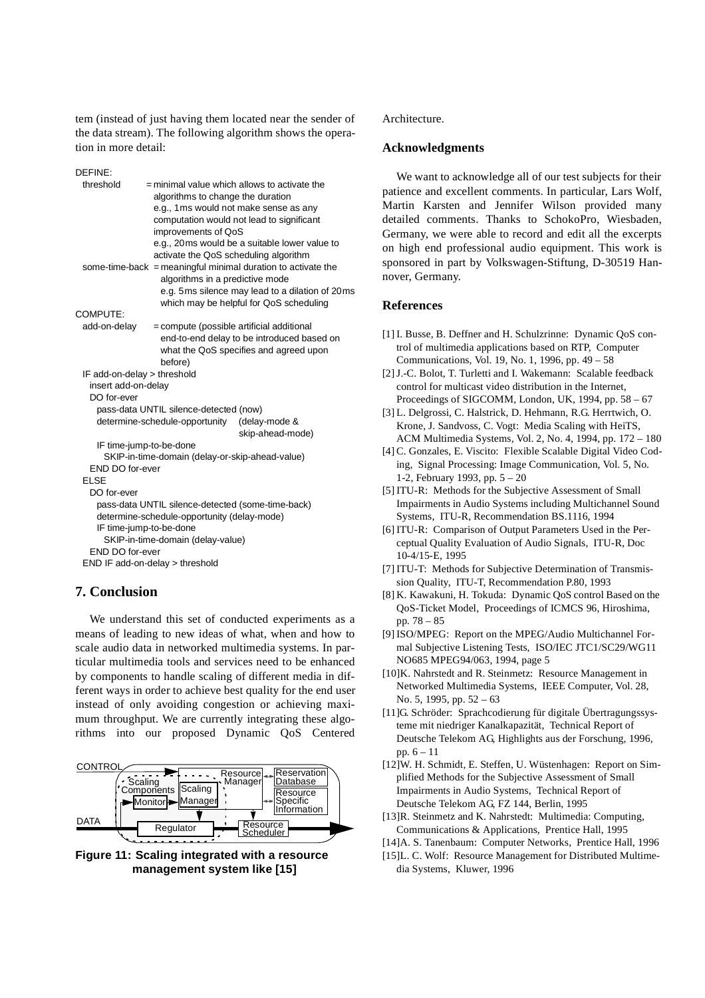<span id="page-7-0"></span>tem (instead of just having them located near the sender of the data stream). The following algorithm shows the operation in more detail:

#### DEFINE:

| threshold                   | algorithms to change the duration<br>improvements of QoS<br>activate the QoS scheduling algorithm                                     | = minimal value which allows to activate the<br>e.g., 1 ms would not make sense as any<br>computation would not lead to significant<br>e.g., 20 ms would be a suitable lower value to |
|-----------------------------|---------------------------------------------------------------------------------------------------------------------------------------|---------------------------------------------------------------------------------------------------------------------------------------------------------------------------------------|
|                             | algorithms in a predictive mode                                                                                                       | some-time-back = meaningful minimal duration to activate the<br>e.g. 5 ms silence may lead to a dilation of 20 ms<br>which may be helpful for QoS scheduling                          |
| COMPUTE:                    |                                                                                                                                       |                                                                                                                                                                                       |
| add-on-delay                | = compute (possible artificial additional<br>before)                                                                                  | end-to-end delay to be introduced based on<br>what the QoS specifies and agreed upon                                                                                                  |
| IF add-on-delay > threshold |                                                                                                                                       |                                                                                                                                                                                       |
| insert add-on-delay         |                                                                                                                                       |                                                                                                                                                                                       |
| DO for-ever                 |                                                                                                                                       |                                                                                                                                                                                       |
|                             | pass-data UNTIL silence-detected (now)                                                                                                |                                                                                                                                                                                       |
|                             | determine-schedule-opportunity                                                                                                        | (delay-mode &<br>skip-ahead-mode)                                                                                                                                                     |
| IF time-jump-to-be-done     |                                                                                                                                       |                                                                                                                                                                                       |
|                             | SKIP-in-time-domain (delay-or-skip-ahead-value)                                                                                       |                                                                                                                                                                                       |
| END DO for-ever             |                                                                                                                                       |                                                                                                                                                                                       |
| <b>ELSE</b>                 |                                                                                                                                       |                                                                                                                                                                                       |
| DO for-ever                 |                                                                                                                                       |                                                                                                                                                                                       |
| IF time-jump-to-be-done     | pass-data UNTIL silence-detected (some-time-back)<br>determine-schedule-opportunity (delay-mode)<br>SKIP-in-time-domain (delay-value) |                                                                                                                                                                                       |
| END DO for-ever             | END IF add-on-delay > threshold                                                                                                       |                                                                                                                                                                                       |

# **7. Conclusion**

We understand this set of conducted experiments as a means of leading to new ideas of what, when and how to scale audio data in networked multimedia systems. In particular multimedia tools and services need to be enhanced by components to handle scaling of different media in different ways in order to achieve best quality for the end user instead of only avoiding congestion or achieving maximum throughput. We are currently integrating these algorithms into our proposed Dynamic QoS Centered



**Figure 11: Scaling integrated with a resource management system like [15]**

### Architecture.

### **Acknowledgments**

We want to acknowledge all of our test subjects for their patience and excellent comments. In particular, Lars Wolf, Martin Karsten and Jennifer Wilson provided many detailed comments. Thanks to SchokoPro, Wiesbaden, Germany, we were able to record and edit all the excerpts on high end professional audio equipment. This work is sponsored in part by Volkswagen-Stiftung, D-30519 Hannover, Germany.

### **References**

| [1] I. Busse, B. Deffner and H. Schulzrinne: Dynamic OoS con- |
|---------------------------------------------------------------|
| trol of multimedia applications based on RTP, Computer        |
| Communications, Vol. 19, No. 1, 1996, pp. $49 - 58$           |

- [2] J.-C. Bolot, T. Turletti and I. Wakemann: Scalable feedback control for multicast video distribution in the Internet, Proceedings of SIGCOMM, London, UK, 1994, pp. 58 – 67
- [3] L. Delgrossi, C. Halstrick, D. Hehmann, R.G. Herrtwich, O. Krone, J. Sandvoss, C. Vogt: Media Scaling with HeiTS, ACM Multimedia Systems, Vol. 2, No. 4, 1994, pp. 172 – 180
- [4] C. Gonzales, E. Viscito: Flexible Scalable Digital Video Coding, Signal Processing: Image Communication, Vol. 5, No. 1-2, February 1993, pp. 5 – 20
- [5] ITU-R: Methods for the Subjective Assessment of Small Impairments in Audio Systems including Multichannel Sound Systems, ITU-R, Recommendation BS.1116, 1994
- [6] ITU-R: Comparison of Output Parameters Used in the Perceptual Quality Evaluation of Audio Signals, ITU-R, Doc 10-4/15-E, 1995
- [7] ITU-T: Methods for Subjective Determination of Transmission Quality, ITU-T, Recommendation P.80, 1993
- [8] K. Kawakuni, H. Tokuda: Dynamic QoS control Based on the QoS-Ticket Model, Proceedings of ICMCS 96, Hiroshima, pp. 78 – 85
- [9] ISO/MPEG: Report on the MPEG/Audio Multichannel Formal Subjective Listening Tests, ISO/IEC JTC1/SC29/WG11 NO685 MPEG94/063, 1994, page 5
- [10]K. Nahrstedt and R. Steinmetz: Resource Management in Networked Multimedia Systems, IEEE Computer, Vol. 28, No. 5, 1995, pp. 52 – 63
- [11]G. Schröder: Sprachcodierung für digitale Übertragungssysteme mit niedriger Kanalkapazität, Technical Report of Deutsche Telekom AG, Highlights aus der Forschung, 1996, pp. 6 – 11
- [12]W. H. Schmidt, E. Steffen, U. Wüstenhagen: Report on Simplified Methods for the Subjective Assessment of Small Impairments in Audio Systems, Technical Report of Deutsche Telekom AG, FZ 144, Berlin, 1995
- [13]R. Steinmetz and K. Nahrstedt: Multimedia: Computing, Communications & Applications, Prentice Hall, 1995
- [14]A. S. Tanenbaum: Computer Networks, Prentice Hall, 1996
- [15]L. C. Wolf: Resource Management for Distributed Multimedia Systems, Kluwer, 1996